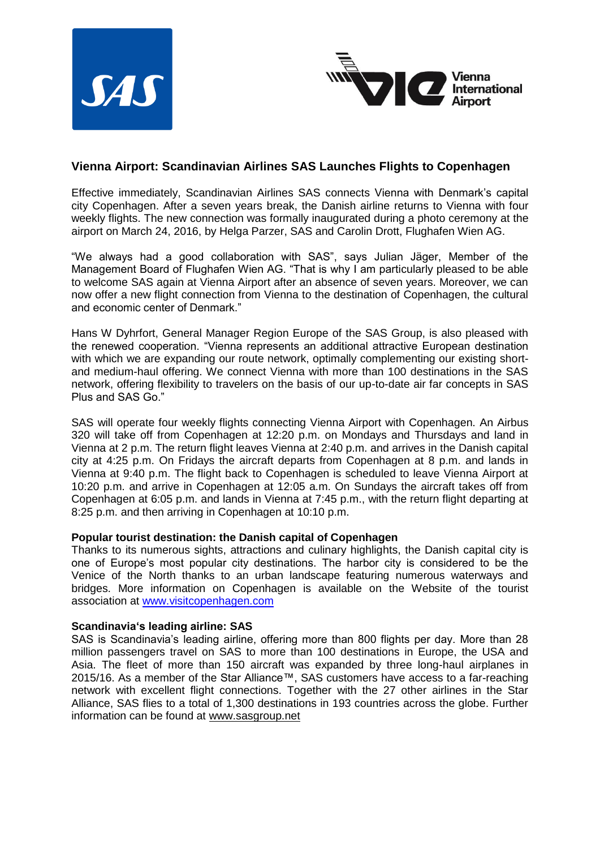



## **Vienna Airport: Scandinavian Airlines SAS Launches Flights to Copenhagen**

Effective immediately, Scandinavian Airlines SAS connects Vienna with Denmark's capital city Copenhagen. After a seven years break, the Danish airline returns to Vienna with four weekly flights. The new connection was formally inaugurated during a photo ceremony at the airport on March 24, 2016, by Helga Parzer, SAS and Carolin Drott, Flughafen Wien AG.

"We always had a good collaboration with SAS", says Julian Jäger, Member of the Management Board of Flughafen Wien AG. "That is why I am particularly pleased to be able to welcome SAS again at Vienna Airport after an absence of seven years. Moreover, we can now offer a new flight connection from Vienna to the destination of Copenhagen, the cultural and economic center of Denmark."

Hans W Dyhrfort, General Manager Region Europe of the SAS Group, is also pleased with the renewed cooperation. "Vienna represents an additional attractive European destination with which we are expanding our route network, optimally complementing our existing shortand medium-haul offering. We connect Vienna with more than 100 destinations in the SAS network, offering flexibility to travelers on the basis of our up-to-date air far concepts in SAS Plus and SAS Go."

SAS will operate four weekly flights connecting Vienna Airport with Copenhagen. An Airbus 320 will take off from Copenhagen at 12:20 p.m. on Mondays and Thursdays and land in Vienna at 2 p.m. The return flight leaves Vienna at 2:40 p.m. and arrives in the Danish capital city at 4:25 p.m. On Fridays the aircraft departs from Copenhagen at 8 p.m. and lands in Vienna at 9:40 p.m. The flight back to Copenhagen is scheduled to leave Vienna Airport at 10:20 p.m. and arrive in Copenhagen at 12:05 a.m. On Sundays the aircraft takes off from Copenhagen at 6:05 p.m. and lands in Vienna at 7:45 p.m., with the return flight departing at 8:25 p.m. and then arriving in Copenhagen at 10:10 p.m.

## **Popular tourist destination: the Danish capital of Copenhagen**

Thanks to its numerous sights, attractions and culinary highlights, the Danish capital city is one of Europe's most popular city destinations. The harbor city is considered to be the Venice of the North thanks to an urban landscape featuring numerous waterways and bridges. More information on Copenhagen is available on the Website of the tourist association at [www.visitcopenhagen.com](http://www.visitcopenhagen.com/)

## **Scandinavia's leading airline: SAS**

SAS is Scandinavia's leading airline, offering more than 800 flights per day. More than 28 million passengers travel on SAS to more than 100 destinations in Europe, the USA and Asia. The fleet of more than 150 aircraft was expanded by three long-haul airplanes in 2015/16. As a member of the Star Alliance™, SAS customers have access to a far-reaching network with excellent flight connections. Together with the 27 other airlines in the Star Alliance, SAS flies to a total of 1,300 destinations in 193 countries across the globe. Further information can be found at [www.sasgroup.net](http://mandrillapp.com/track/click/30305817/www.sasgroup.net?p=eyJzIjoiR3RXN3RxY1Z3LTFJWTY4SFpsU1JxNFVBcEw4IiwidiI6MSwicCI6IntcInVcIjozMDMwNTgxNyxcInZcIjoxLFwidXJsXCI6XCJodHRwOlxcXC9cXFwvd3d3LnNhc2dyb3VwLm5ldFwiLFwiaWRcIjpcIjJiMjVlNWQwY2M3MTRmODliYTJiMTcyMWY3Y2YwMzQ1XCIsXCJ1cmxfaWRzXCI6W1wiZGQwYTNkNjlmZTdiMDQzN2NjMTFiZmE3ZTZkYzdlMjdmMTAyNjdiN1wiXX0ifQ)